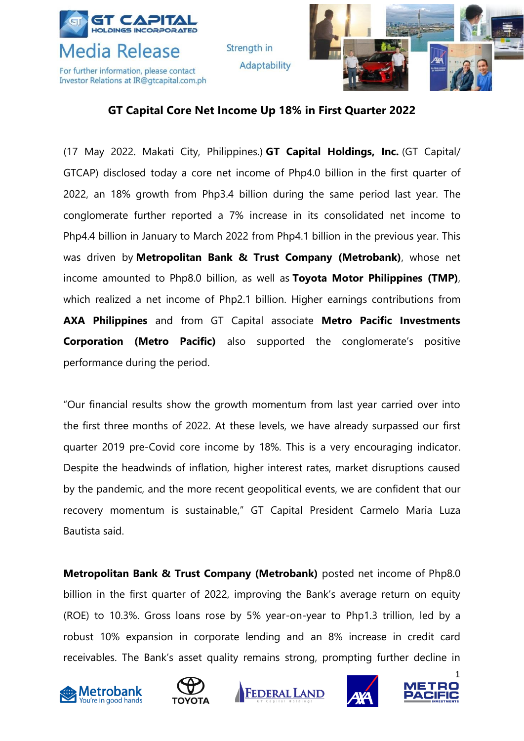

Strength in Adaptability



## **GT Capital Core Net Income Up 18% in First Quarter 2022**

(17 May 2022. Makati City, Philippines.) **GT Capital Holdings, Inc.** (GT Capital/ GTCAP) disclosed today a core net income of Php4.0 billion in the first quarter of 2022, an 18% growth from Php3.4 billion during the same period last year. The conglomerate further reported a 7% increase in its consolidated net income to Php4.4 billion in January to March 2022 from Php4.1 billion in the previous year. This was driven by **Metropolitan Bank & Trust Company (Metrobank)**, whose net income amounted to Php8.0 billion, as well as **Toyota Motor Philippines (TMP)**, which realized a net income of Php2.1 billion. Higher earnings contributions from **AXA Philippines** and from GT Capital associate **Metro Pacific Investments Corporation (Metro Pacific)** also supported the conglomerate's positive performance during the period.

"Our financial results show the growth momentum from last year carried over into the first three months of 2022. At these levels, we have already surpassed our first quarter 2019 pre-Covid core income by 18%. This is a very encouraging indicator. Despite the headwinds of inflation, higher interest rates, market disruptions caused by the pandemic, and the more recent geopolitical events, we are confident that our recovery momentum is sustainable," GT Capital President Carmelo Maria Luza Bautista said.

**Metropolitan Bank & Trust Company (Metrobank)** posted net income of Php8.0 billion in the first quarter of 2022, improving the Bank's average return on equity (ROE) to 10.3%. Gross loans rose by 5% year-on-year to Php1.3 trillion, led by a robust 10% expansion in corporate lending and an 8% increase in credit card receivables. The Bank's asset quality remains strong, prompting further decline in









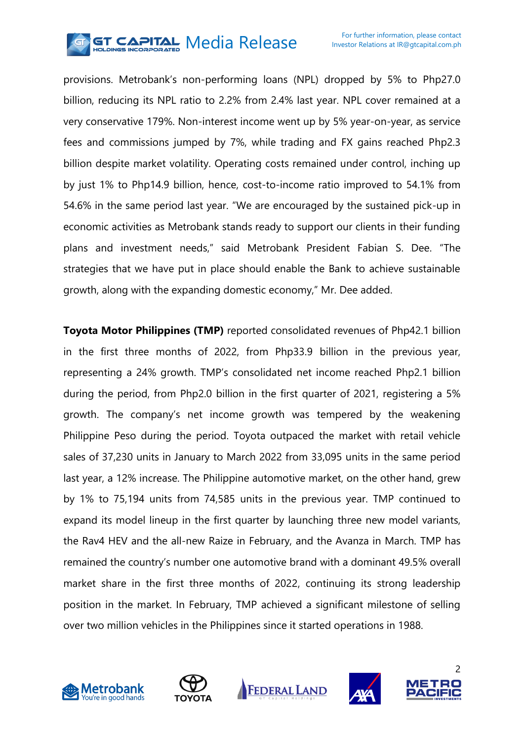

provisions. Metrobank's non-performing loans (NPL) dropped by 5% to Php27.0 billion, reducing its NPL ratio to 2.2% from 2.4% last year. NPL cover remained at a very conservative 179%. Non-interest income went up by 5% year-on-year, as service fees and commissions jumped by 7%, while trading and FX gains reached Php2.3 billion despite market volatility. Operating costs remained under control, inching up by just 1% to Php14.9 billion, hence, cost-to-income ratio improved to 54.1% from 54.6% in the same period last year. "We are encouraged by the sustained pick-up in economic activities as Metrobank stands ready to support our clients in their funding plans and investment needs," said Metrobank President Fabian S. Dee. "The strategies that we have put in place should enable the Bank to achieve sustainable growth, along with the expanding domestic economy," Mr. Dee added.

**Toyota Motor Philippines (TMP)** reported consolidated revenues of Php42.1 billion in the first three months of 2022, from Php33.9 billion in the previous year, representing a 24% growth. TMP's consolidated net income reached Php2.1 billion during the period, from Php2.0 billion in the first quarter of 2021, registering a 5% growth. The company's net income growth was tempered by the weakening Philippine Peso during the period. Toyota outpaced the market with retail vehicle sales of 37,230 units in January to March 2022 from 33,095 units in the same period last year, a 12% increase. The Philippine automotive market, on the other hand, grew by 1% to 75,194 units from 74,585 units in the previous year. TMP continued to expand its model lineup in the first quarter by launching three new model variants, the Rav4 HEV and the all-new Raize in February, and the Avanza in March. TMP has remained the country's number one automotive brand with a dominant 49.5% overall market share in the first three months of 2022, continuing its strong leadership position in the market. In February, TMP achieved a significant milestone of selling over two million vehicles in the Philippines since it started operations in 1988.









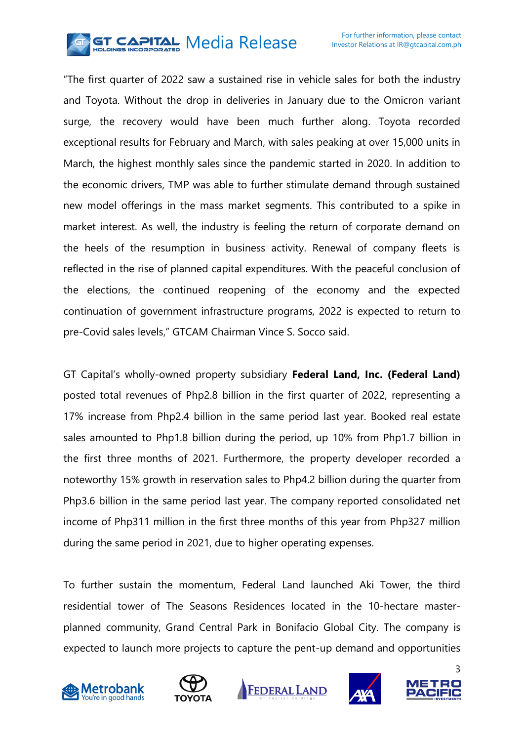

"The first quarter of 2022 saw a sustained rise in vehicle sales for both the industry and Toyota. Without the drop in deliveries in January due to the Omicron variant surge, the recovery would have been much further along. Toyota recorded exceptional results for February and March, with sales peaking at over 15,000 units in March, the highest monthly sales since the pandemic started in 2020. In addition to the economic drivers, TMP was able to further stimulate demand through sustained new model offerings in the mass market segments. This contributed to a spike in market interest. As well, the industry is feeling the return of corporate demand on the heels of the resumption in business activity. Renewal of company fleets is reflected in the rise of planned capital expenditures. With the peaceful conclusion of the elections, the continued reopening of the economy and the expected continuation of government infrastructure programs, 2022 is expected to return to pre-Covid sales levels," GTCAM Chairman Vince S. Socco said.

GT Capital's wholly-owned property subsidiary **Federal Land, Inc. (Federal Land)** posted total revenues of Php2.8 billion in the first quarter of 2022, representing a 17% increase from Php2.4 billion in the same period last year. Booked real estate sales amounted to Php1.8 billion during the period, up 10% from Php1.7 billion in the first three months of 2021. Furthermore, the property developer recorded a noteworthy 15% growth in reservation sales to Php4.2 billion during the quarter from Php3.6 billion in the same period last year. The company reported consolidated net income of Php311 million in the first three months of this year from Php327 million during the same period in 2021, due to higher operating expenses.

To further sustain the momentum, Federal Land launched Aki Tower, the third residential tower of The Seasons Residences located in the 10-hectare masterplanned community, Grand Central Park in Bonifacio Global City. The company is expected to launch more projects to capture the pent-up demand and opportunities









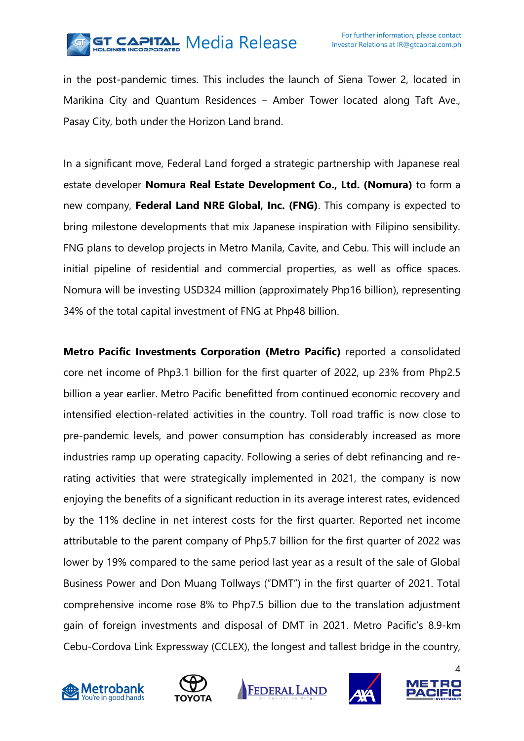

in the post-pandemic times. This includes the launch of Siena Tower 2, located in Marikina City and Quantum Residences – Amber Tower located along Taft Ave., Pasay City, both under the Horizon Land brand.

In a significant move, Federal Land forged a strategic partnership with Japanese real estate developer **Nomura Real Estate Development Co., Ltd. (Nomura)** to form a new company, **Federal Land NRE Global, Inc. (FNG)**. This company is expected to bring milestone developments that mix Japanese inspiration with Filipino sensibility. FNG plans to develop projects in Metro Manila, Cavite, and Cebu. This will include an initial pipeline of residential and commercial properties, as well as office spaces. Nomura will be investing USD324 million (approximately Php16 billion), representing 34% of the total capital investment of FNG at Php48 billion.

**Metro Pacific Investments Corporation (Metro Pacific)** reported a consolidated core net income of Php3.1 billion for the first quarter of 2022, up 23% from Php2.5 billion a year earlier. Metro Pacific benefitted from continued economic recovery and intensified election-related activities in the country. Toll road traffic is now close to pre-pandemic levels, and power consumption has considerably increased as more industries ramp up operating capacity. Following a series of debt refinancing and rerating activities that were strategically implemented in 2021, the company is now enjoying the benefits of a significant reduction in its average interest rates, evidenced by the 11% decline in net interest costs for the first quarter. Reported net income attributable to the parent company of Php5.7 billion for the first quarter of 2022 was lower by 19% compared to the same period last year as a result of the sale of Global Business Power and Don Muang Tollways ("DMT") in the first quarter of 2021. Total comprehensive income rose 8% to Php7.5 billion due to the translation adjustment gain of foreign investments and disposal of DMT in 2021. Metro Pacific's 8.9-km Cebu-Cordova Link Expressway (CCLEX), the longest and tallest bridge in the country,